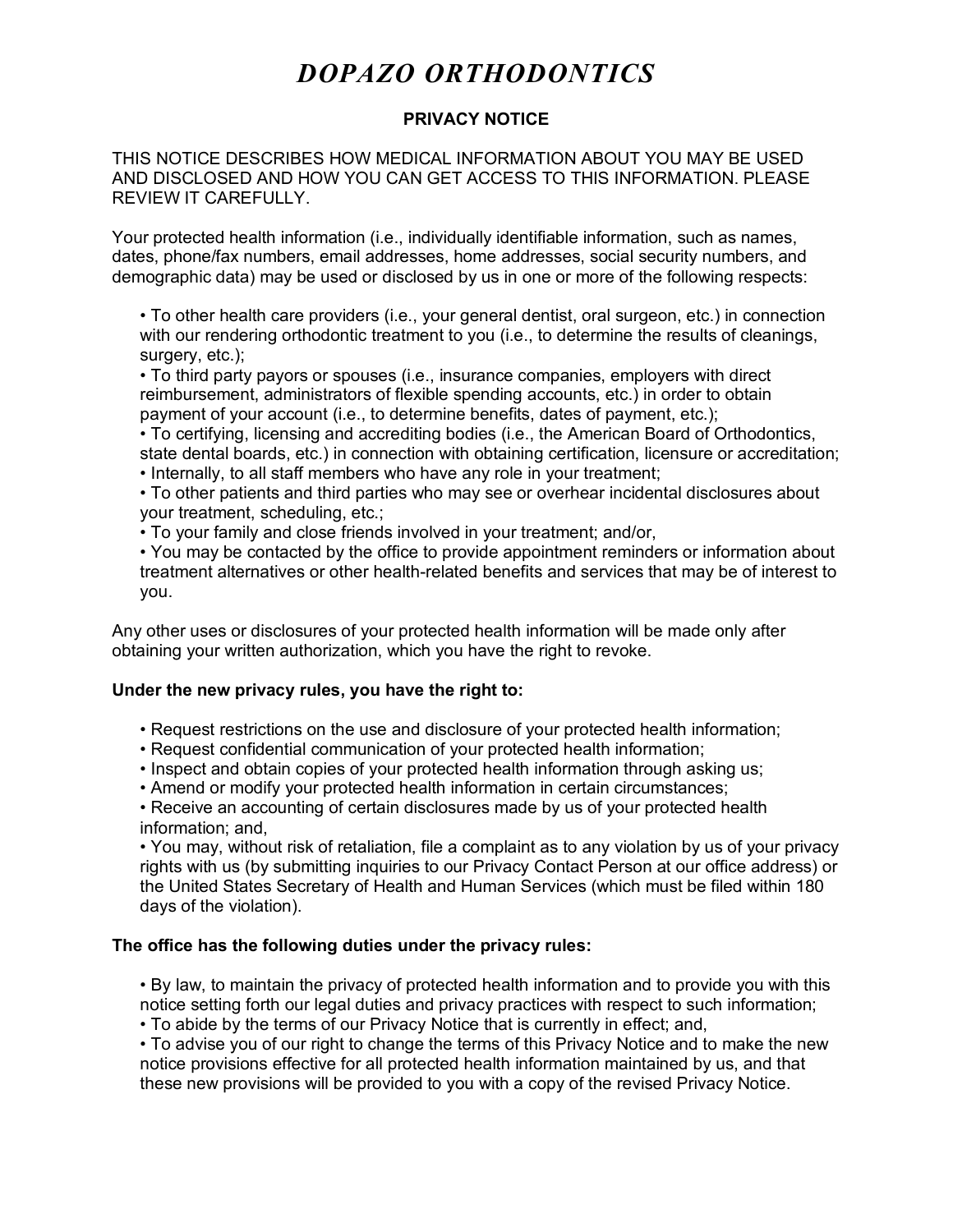# *DOPAZO ORTHODONTICS*

## **PRIVACY NOTICE**

THIS NOTICE DESCRIBES HOW MEDICAL INFORMATION ABOUT YOU MAY BE USED AND DISCLOSED AND HOW YOU CAN GET ACCESS TO THIS INFORMATION. PLEASE REVIEW IT CAREFULLY.

Your protected health information (i.e., individually identifiable information, such as names, dates, phone/fax numbers, email addresses, home addresses, social security numbers, and demographic data) may be used or disclosed by us in one or more of the following respects:

• To other health care providers (i.e., your general dentist, oral surgeon, etc.) in connection with our rendering orthodontic treatment to you (i.e., to determine the results of cleanings, surgery, etc.);

• To third party payors or spouses (i.e., insurance companies, employers with direct reimbursement, administrators of flexible spending accounts, etc.) in order to obtain payment of your account (i.e., to determine benefits, dates of payment, etc.);

• To certifying, licensing and accrediting bodies (i.e., the American Board of Orthodontics, state dental boards, etc.) in connection with obtaining certification, licensure or accreditation;

• Internally, to all staff members who have any role in your treatment;

• To other patients and third parties who may see or overhear incidental disclosures about your treatment, scheduling, etc.;

• To your family and close friends involved in your treatment; and/or,

• You may be contacted by the office to provide appointment reminders or information about treatment alternatives or other health-related benefits and services that may be of interest to you.

Any other uses or disclosures of your protected health information will be made only after obtaining your written authorization, which you have the right to revoke.

#### **Under the new privacy rules, you have the right to:**

- Request restrictions on the use and disclosure of your protected health information;
- Request confidential communication of your protected health information;
- Inspect and obtain copies of your protected health information through asking us;
- Amend or modify your protected health information in certain circumstances;

• Receive an accounting of certain disclosures made by us of your protected health information; and,

• You may, without risk of retaliation, file a complaint as to any violation by us of your privacy rights with us (by submitting inquiries to our Privacy Contact Person at our office address) or the United States Secretary of Health and Human Services (which must be filed within 180 days of the violation).

#### **The office has the following duties under the privacy rules:**

• By law, to maintain the privacy of protected health information and to provide you with this notice setting forth our legal duties and privacy practices with respect to such information;

• To abide by the terms of our Privacy Notice that is currently in effect; and,

• To advise you of our right to change the terms of this Privacy Notice and to make the new notice provisions effective for all protected health information maintained by us, and that these new provisions will be provided to you with a copy of the revised Privacy Notice.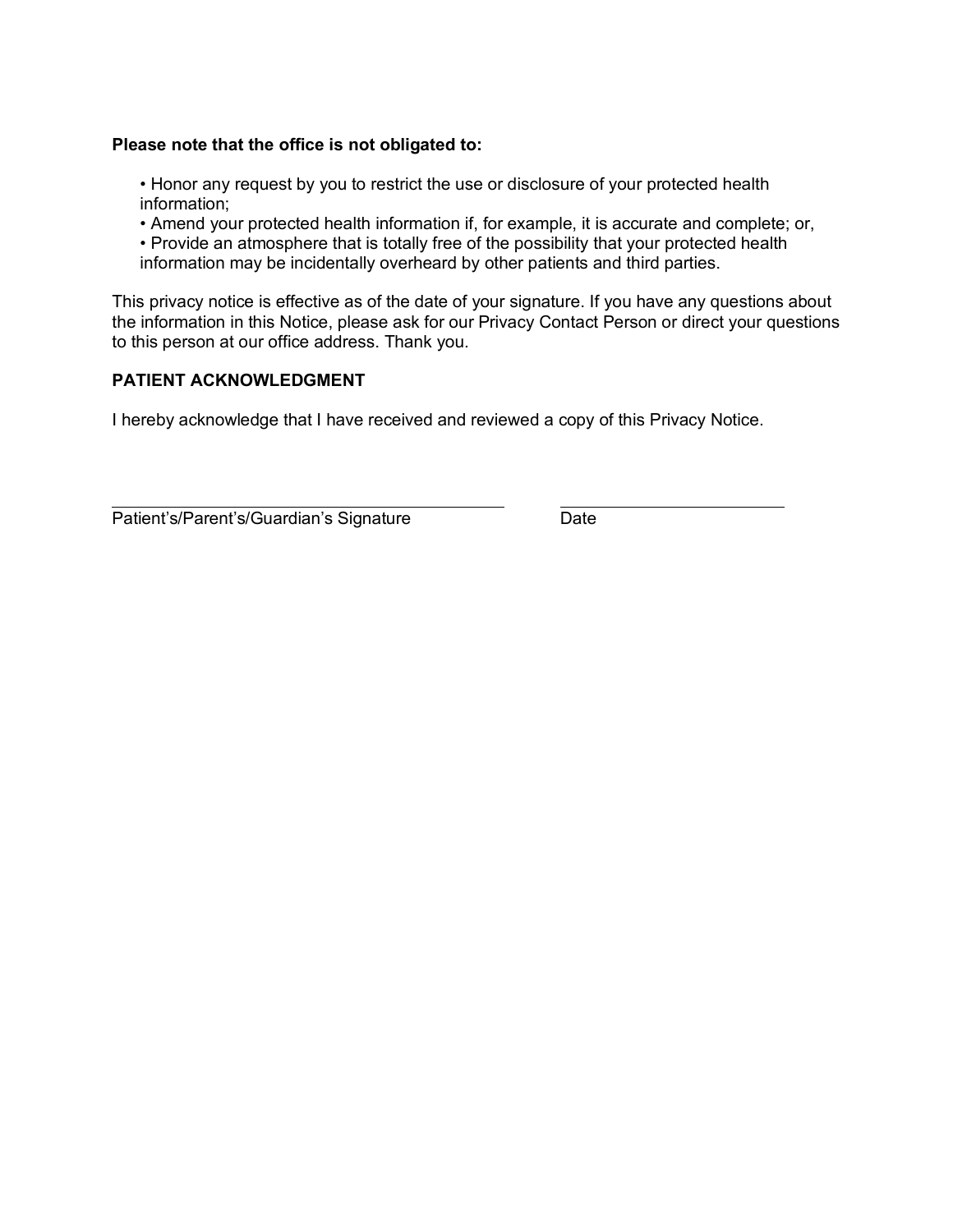### **Please note that the office is not obligated to:**

• Honor any request by you to restrict the use or disclosure of your protected health information;

• Amend your protected health information if, for example, it is accurate and complete; or,

• Provide an atmosphere that is totally free of the possibility that your protected health information may be incidentally overheard by other patients and third parties.

This privacy notice is effective as of the date of your signature. If you have any questions about the information in this Notice, please ask for our Privacy Contact Person or direct your questions to this person at our office address. Thank you.

### **PATIENT ACKNOWLEDGMENT**

I hereby acknowledge that I have received and reviewed a copy of this Privacy Notice.

Patient's/Parent's/Guardian's Signature Date